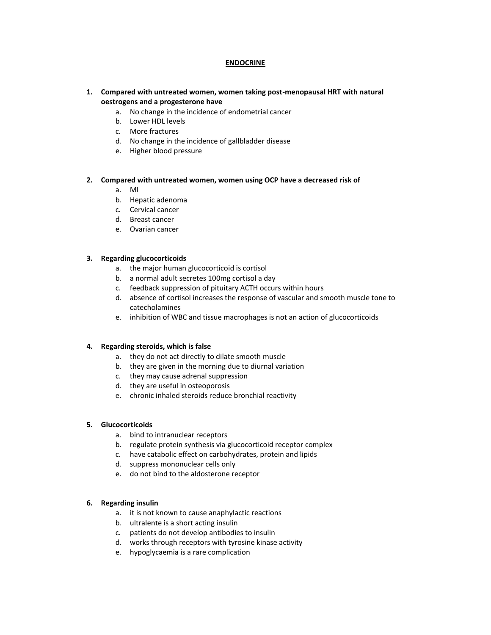## **ENDOCRINE**

- **1. Compared with untreated women, women taking post-menopausal HRT with natural oestrogens and a progesterone have**
	- a. No change in the incidence of endometrial cancer
	- b. Lower HDL levels
	- c. More fractures
	- d. No change in the incidence of gallbladder disease
	- e. Higher blood pressure

#### **2. Compared with untreated women, women using OCP have a decreased risk of**

- a. MI
- b. Hepatic adenoma
- c. Cervical cancer
- d. Breast cancer
- e. Ovarian cancer

#### **3. Regarding glucocorticoids**

- a. the major human glucocorticoid is cortisol
- b. a normal adult secretes 100mg cortisol a day
- c. feedback suppression of pituitary ACTH occurs within hours
- d. absence of cortisol increases the response of vascular and smooth muscle tone to catecholamines
- e. inhibition of WBC and tissue macrophages is not an action of glucocorticoids

#### **4. Regarding steroids, which is false**

- a. they do not act directly to dilate smooth muscle
- b. they are given in the morning due to diurnal variation
- c. they may cause adrenal suppression
- d. they are useful in osteoporosis
- e. chronic inhaled steroids reduce bronchial reactivity

#### **5. Glucocorticoids**

- a. bind to intranuclear receptors
- b. regulate protein synthesis via glucocorticoid receptor complex
- c. have catabolic effect on carbohydrates, protein and lipids
- d. suppress mononuclear cells only
- e. do not bind to the aldosterone receptor

#### **6. Regarding insulin**

- a. it is not known to cause anaphylactic reactions
- b. ultralente is a short acting insulin
- c. patients do not develop antibodies to insulin
- d. works through receptors with tyrosine kinase activity
- e. hypoglycaemia is a rare complication